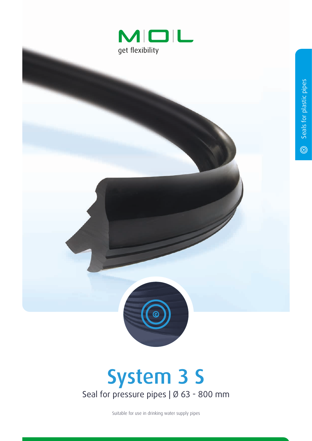



## System 3 S Seal for pressure pipes | Ø 63 - 800 mm

Suitable for use in drinking water supply pipes